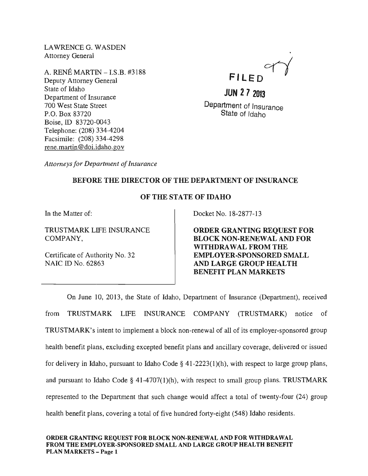LAWRENCEG. WASDEN Attorney General

A. RENE MARTIN -I.S.B. #3188 Deputy Attorney General State of Idaho Department of Insurance 700 West State Street P.O. Box 83720 Boise, ID 83720-0043 Telephone: (208) 334-4204 Facsimile: (208) 334-4298 rene. martin @doi.idaho.gov

FILED

**JUN 272013**  Department of Insurance State of Idaho

*Attorneys for Department of Insurance* 

## BEFORE THE DIRECTOR OF THE DEPARTMENT OF INSURANCE

## OF THE STATE OF IDAHO

In the Matter of:

TRUSTMARK LIFE INSURANCE COMPANY,

Certificate of Authority No. 32 NAIC ID No. 62863

Docket No. 18-2877-13

ORDER GRANTING REQUEST FOR BLOCK NON-RENEWAL AND FOR WITHDRA WAL FROM THE EMPLOYER-SPONSORED SMALL AND LARGE GROUP HEALTH BENEFIT PLAN MARKETS

On June 10, 2013, the State of Idaho, Department of Insurance (Department), received from TRUSTMARK LIFE INSURANCE COMPANY (TRUSTMARK) notice of TRUSTMARK's intent to implement a block non-renewal of all of its employer-sponsored group health benefit plans, excluding excepted benefit plans and ancillary coverage, delivered or issued for delivery in Idaho, pursuant to Idaho Code  $\S$  41-2223(1)(h), with respect to large group plans, and pursuant to Idaho Code  $\S$  41-4707(1)(h), with respect to small group plans. TRUSTMARK represented to the Department that such change would affect a total of twenty-four (24) group health benefit plans, covering a total of five hundred forty-eight (548) Idaho residents.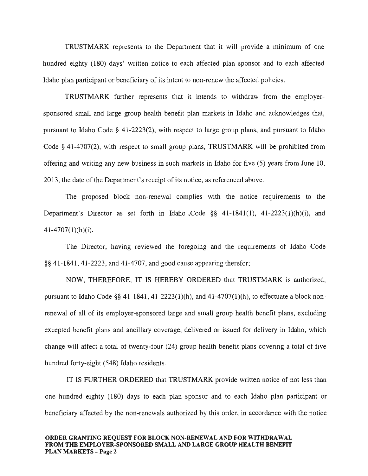TRUSTMARK represents to the Department that it will provide a minimum of one hundred eighty (180) days' written notice to each affected plan sponsor and to each affected Idaho plan participant or beneficiary of its intent to non-renew the affected policies.

TRUSTMARK further represents that it intends to withdraw from the employersponsored small and large group health benefit plan markets in Idaho and acknowledges that, pursuant to Idaho Code § 41-2223(2), with respect to large group plans, and pursuant to Idaho Code § 41-4707(2), with respect to small group plans, TRUSTMARK will be prohibited from offering and writing any new business in such markets in Idaho for five (5) years from June 10, 2013, the date of the Department's receipt of its notice, as referenced above.

The proposed block non-renewal complies with the notice requirements to the Department's Director as set forth in Idaho .Code §§ 41-1841(1), 41-2223(1)(h)(i), and  $41-4707(1)(h)(i)$ .

The Director, having reviewed the foregoing and the requirements of Idaho Code §§ 41-1841,41-2223, and 41-4707, and good cause appearing therefor;

NOW, THEREFORE, IT IS HEREBY ORDERED that TRUSTMARK is authorized, pursuant to Idaho Code §§ 41-1841, 41-2223(1)(h), and 41-4707(1)(h), to effectuate a block nonrenewal of all of its employer-sponsored large and small group health benefit plans, excluding excepted benefit plans and ancillary coverage, delivered or issued for delivery in Idaho, which change will affect a total of twenty-four (24) group health benefit plans covering a total of five hundred forty-eight (548) Idaho residents.

IT IS FURTHER ORDERED that TRUSTMARK provide written notice of not less than one hundred eighty (180) days to each plan sponsor and to each Idaho plan participant or beneficiary affected by the non-renewals authorized by this order, in accordance with the notice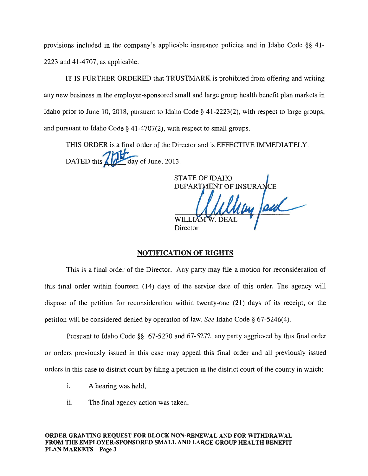provisions included in the company's applicable insurance policies and in Idaho Code §§ 41- 2223 and 41-4707, as applicable.

IT IS FURTHER ORDERED that TRUSTMARK is prohibited from offering and writing any new business in the employer-sponsored small and large group health benefit plan markets in Idaho prior to June 10,2018, pursuant to Idaho Code § 41-2223(2), with respect to large groups, and pursuant to Idaho Code § 41-4707(2), with respect to small groups.

THIS ORDER is a final order of the Director and is EFFECTIVE IMMEDIATELY. THIS ORDER is a final order of the Dire<br>DATED this  $\left\{\begin{matrix} 1 & 0 \\ 0 & 0 \end{matrix}\right\}$  day of June, 2013.

STATE OF IDAHO DEPARTMENT OF INSURANCE WILLIA **Director** 

## NOTIFICATION OF RIGHTS

This is a final order of the Director. Any party may file a motion for reconsideration of this final order within fourteen (14) days of the service date of this order. The agency will dispose of the petition for reconsideration within twenty-one (21) days of its receipt, or the petition will be considered denied by operation of law. *See* Idaho Code § 67-5246(4).

Pursuant to Idaho Code §§ 67-5270 and 67-5272, any party aggrieved by this final order or orders previously issued in this case may appeal this final order and all previously issued orders in this case to district court by filing a petition in the district court of the county in which:

- i. A hearing was held,
- ii. The final agency action was taken,